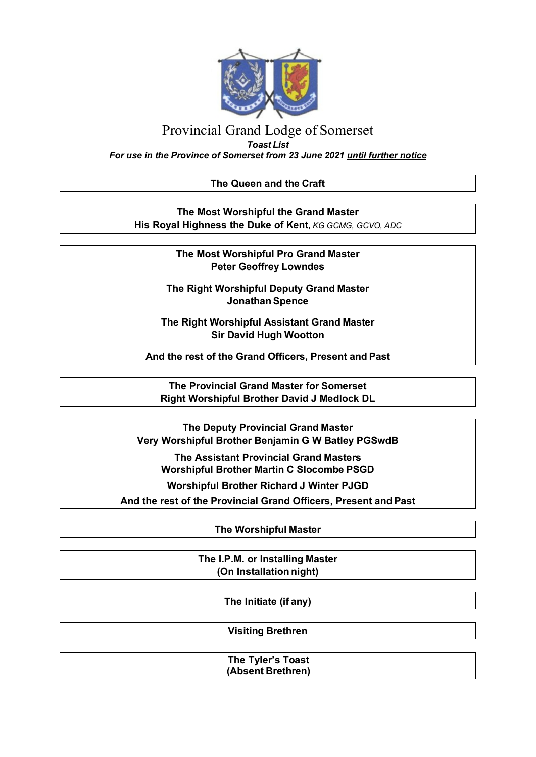

# Provincial Grand Lodge of Somerset

*Toast List*

*For use in the Province of Somerset from 23 June 2021 until further notice*

### **The Queen and the Craft**

**The Most Worshipful the Grand Master His Royal Highness the Duke of Kent,** *KG GCMG, GCVO, ADC*

> **The Most Worshipful Pro Grand Master Peter Geoffrey Lowndes**

**The Right Worshipful Deputy Grand Master Jonathan Spence**

**The Right Worshipful Assistant Grand Master Sir David Hugh Wootton**

**And the rest of the Grand Officers, Present and Past**

**The Provincial Grand Master for Somerset Right Worshipful Brother David J Medlock DL**

**The Deputy Provincial Grand Master Very Worshipful Brother Benjamin G W Batley PGSwdB**

**The Assistant Provincial Grand Masters Worshipful Brother Martin C Slocombe PSGD**

**Worshipful Brother Richard J Winter PJGD**

**And the rest of the Provincial Grand Officers, Present and Past**

**The Worshipful Master**

**The I.P.M. or Installing Master (On Installation night)**

**The Initiate (if any)**

**Visiting Brethren**

**The Tyler's Toast (Absent Brethren)**